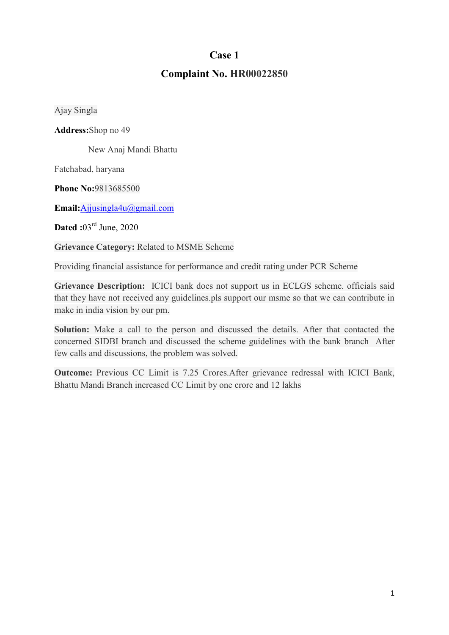## Complaint No. HR00022850

Ajay Singla

Address:Shop no 49

New Anaj Mandi Bhattu

Fatehabad, haryana

Phone No:9813685500

Email:Ajjusingla4u@gmail.com

**Dated**: $03^{\text{rd}}$  June, 2020

Grievance Category: Related to MSME Scheme

Providing financial assistance for performance and credit rating under PCR Scheme

Grievance Description: ICICI bank does not support us in ECLGS scheme. officials said that they have not received any guidelines.pls support our msme so that we can contribute in make in india vision by our pm.

Solution: Make a call to the person and discussed the details. After that contacted the concerned SIDBI branch and discussed the scheme guidelines with the bank branch After few calls and discussions, the problem was solved.

Outcome: Previous CC Limit is 7.25 Crores.After grievance redressal with ICICI Bank, Bhattu Mandi Branch increased CC Limit by one crore and 12 lakhs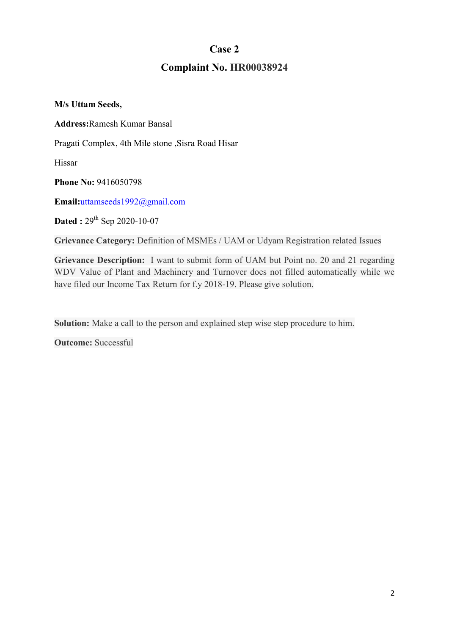# Complaint No. HR00038924

M/s Uttam Seeds,

Address:Ramesh Kumar Bansal

Pragati Complex, 4th Mile stone ,Sisra Road Hisar

Hissar

Phone No: 9416050798

Email:uttamseeds1992@gmail.com

**Dated :**  $29^{th}$  Sep 2020-10-07

Grievance Category: Definition of MSMEs / UAM or Udyam Registration related Issues

Grievance Description: I want to submit form of UAM but Point no. 20 and 21 regarding WDV Value of Plant and Machinery and Turnover does not filled automatically while we have filed our Income Tax Return for f.y 2018-19. Please give solution.

Solution: Make a call to the person and explained step wise step procedure to him.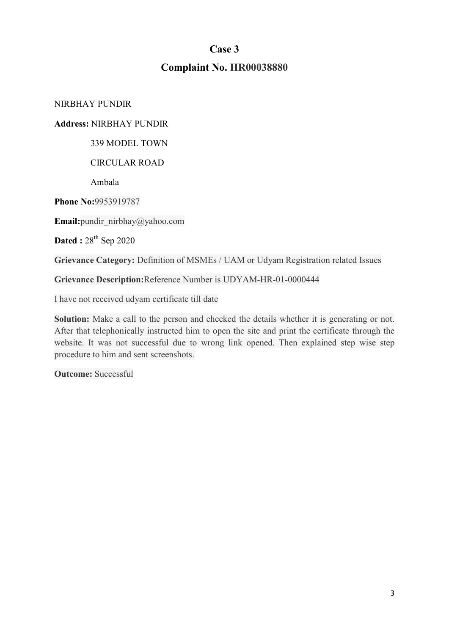## Complaint No. HR00038880

NIRBHAY PUNDIR

### Address: NIRBHAY PUNDIR

339 MODEL TOWN

CIRCULAR ROAD

Ambala

Phone No:9953919787

Email: pundir\_nirbhay@yahoo.com

Dated :  $28^{th}$  Sep 2020

Grievance Category: Definition of MSMEs / UAM or Udyam Registration related Issues

Grievance Description:Reference Number is UDYAM-HR-01-0000444

I have not received udyam certificate till date

Solution: Make a call to the person and checked the details whether it is generating or not. After that telephonically instructed him to open the site and print the certificate through the website. It was not successful due to wrong link opened. Then explained step wise step procedure to him and sent screenshots.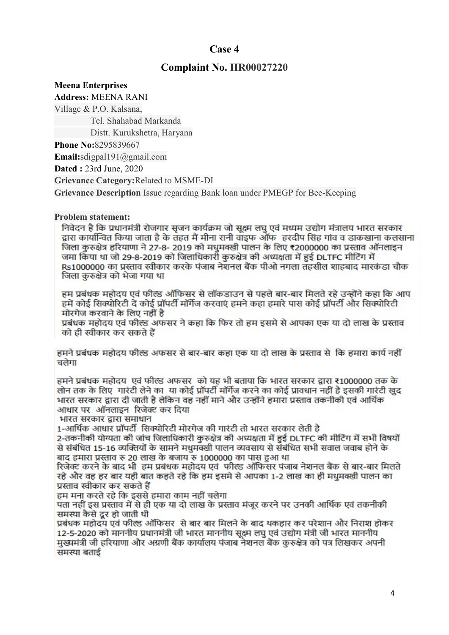## Complaint No. HR00027220

#### Meena Enterprises

Address: MEENA RANI

Village & P.O. Kalsana,

Tel. Shahabad Markanda

Distt. Kurukshetra, Haryana

Phone No:8295839667

Email:sdigpal191@gmail.com

Dated : 23rd June, 2020

Grievance Category:Related to MSME-DI

Grievance Description Issue regarding Bank loan under PMEGP for Bee-Keeping

### Problem statement:

निवेदन है कि प्रधानमंत्री रोजगार सजन कार्यक्रम जो सक्ष्म लघ एवं मध्यम उद्योग मंत्रालय भारत सरकार द्वारा कार्यान्वित किया जाता है के तहत मैं मीना रानी वाइफ ऑफ) हरदीप सिंह गांव व डाकखाना कलसाना जिला करुक्षेत्र हरियाणा ने 27-8- 2019 को मधमक्खी पालन के लिए ₹2000000 का प्रस्ताव ऑनलाइन जमा किया था जो 29-8-2019 को जिलाधिकारी कुरुक्षेत्र की अध्यक्षता में हुई DLTFC मीटिंग में Rs1000000 का प्रस्ताव स्वीकार करके पंजाब नेशनल बैंक पीओ नगला तहसील शाहबाद मारकंडा चौक जिला कुरुक्षेत्र को भेजा गया था

हम प्रबंधक महोदय एवं फील्ड ऑफिसर से लॉकडाउन से पहले बार-बार मिलते रहे उन्होंने कहा कि आप हमें कोई सिक्योरिटी दें कोई प्रॉपर्टी मॉर्गेज करवाएं हमने कहा हमारे पास कोई प्रॉपर्टी और सिक्योरिटी मोरगेज करवाने के लिए नहीं है

प्रबंधक महोदय एवं फील्ड अफसर ने कहा कि फिर तो हम इसमे से आपका एक या दो लाख के प्रस्ताव को ही स्वीकार कर सकते हैं

हमने प्रबंधक महोदय फील्ड अफसर से बार-बार कहा एक या दो लाख के प्रस्ताव से कि हमारा कार्य नहीं चलेगा

हमने प्रबंधक महोदय एवं फील्ड अफसर को यह भी बताया कि भारत सरकार द्वारा ₹1000000 तक के लोन तक के लिए गारंटी लेने का या कोई प्रॉपर्टी मॉर्गेज करने का कोई प्रावधान नहीं है इसकी गारंटी खुद भारत सरकार द्वारा दी जाती है लेकिन वह नहीं माने और उन्होंने हमारा प्रस्ताव तकनीकी एवं आर्थिक आधार पर ऑनलाइन रिजेक्ट कर दिया

भारत सरकार द्वारा समाधान

1-आर्थिक आधार प्रॉपर्टी सिक्योरिटी मोरगेज की गारंटी तो भारत सरकार लेती है

2-तकनीकी योग्यता की जांच जिलाधिकारी कुरुक्षेत्र की अध्यक्षता में हुई DLTFC की मीटिंग में सभी विषयों से संबंधित 15-16 व्यक्तियों के सामने मधुमक्खी पालन व्यवसाय से संबंधित सभी सवाल जवाब होने के बाद हमारा प्रस्ताव रु 20 लाख के बजाय रु 1000000 का पास हुआ था

रिजेक्ट करने के बाद भी हम प्रबंधक महोदय एवं फील्ड ऑफिसर पंजाब नेशनल बैंक से बार-बार मिलते रहे और वह हर बार यही बात कहते रहे कि हम इसमे से आपका 1-2 लाख का ही मधमक्खी पालन का प्रस्ताव स्वीकार कर सकते हैं

हम मना करते रहे कि इससे हमारा काम नहीं चलेगा

पता नहीं इस प्रस्ताव में से ही एक या दो लाख के प्रस्ताव मंजूर करने पर उनकी आर्थिक एवं तकनीकी समस्या कैसे दर हो जाती थी

प्रबंधक महोदय एवं फील्ड ऑफिसर से बार बार मिलने के बाद थकहार कर परेशान और निराश होकर 12-5-2020 को माननीय प्रधानमंत्री जी भारत माननीय सक्ष्म लघ एवं उद्योग मंत्री जी भारत माननीय मुख्यमंत्री जी हरियाणा और अग्रणी बैंक कार्यालय पंजाब नेशनल बैंक करुक्षेत्र को पत्र लिखकर अपनी समस्या बताई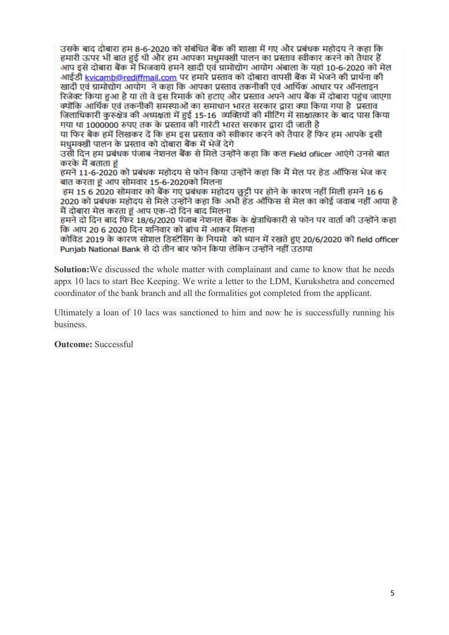उसके बाद दोबारा हम 8-6-2020 को संबंधित बैंक की शाखा में गए और प्रबंधक महोदय ने कहा कि हमारी ऊपर भी बात हुई थी और हम आपका मधमक्खी पालन का प्रस्ताव स्वीकार करने को तैयार हैं आप इसे दोबारा बैंक में भिजवाये हमने खादी एवं ग्रामोद्योग आयोग अंबाला के यहां 10-6-2020 को मेल आईडी <u>kvicamb@rediffmail.com</u> पर हमारे प्रस्ताव को दोबारा वापसी बैंक में भेजने की प्रार्थना की खादी एवं ग्रामोद्योग आयोग ने कहा कि आपका प्रस्ताव तकनीकी एवं आर्थिक आधार पर ऑनलाइन रिजेक्ट किया हुआ है या तो वे इस रिमार्क को हटाए और प्रस्ताव अपने आप बैंक में दोबारा पहुंच जाएगा क्योंकि आर्थिक एवं तकनीकी समस्याओं का समाधान भारत सरकार द्वारा क्या किया गया है ,प्रस्ताव जिलाधिकारी कुरुक्षेत्र की अध्यक्षता में हुई 15-16 व्यक्तियों की मीटिंग में साक्षात्कार के बाद पास किया गया था 1000000 रुपए तक के प्रस्ताव की गारंटी भारत सरकार द्वारा दी जाती है

या फिर बैक हमें लिखकर दें कि हम इस प्रस्ताव को स्वीकार करने को तैयार हैं फिर हम आपके इसी मधमक्खी पालन के प्रस्ताव को दोबारा बैंक में भेजें देगे

उसी दिन हम प्रबंधक पंजाब नेशनल बैंक से मिले उन्होंने कहा कि कल Field ofiicer आएंगे उनसे बात करके मैं बताता हं

हमने 11-6-2020 को प्रबंधक महोदय से फोन किया उन्होंने कहा कि मैं मेल पर हेड ऑफिस भेज कर बात करता हं आप सोमवार 15-6-2020को मिलना

हम 15 6 2020 सोमवार को बैंक गए प्रबंधक महोदय छुट्टी पर होने के कारण नहीं मिली हमने 16 6 2020 को प्रबंधक महोदय से मिले उन्होंने कहा कि अभी हेड ऑफिस से मेल का कोई जवाब नहीं आया है मैं दोबारा मेल करता हूं आप एक-दो दिन बाद मिलना

हमने दो दिन बाद फिर 18/6/2020 पंजाब नेशनल बैंक के क्षेत्राधिकारी से फोन पर वार्ता की उन्होंने कहा कि आप 20 6 2020 दिन शनिवार को ब्रांच में आकर मिलना

कोविड 2019 के कारण सोशल डिस्टेंसिंग के नियमो को ध्यान में रखते हुए 20/6/2020 को field officer Punjab National Bank से दो तीन बार फोन किया लेकिन उन्होंने नहीं उठाया

Solution:We discussed the whole matter with complainant and came to know that he needs appx 10 lacs to start Bee Keeping. We write a letter to the LDM, Kurukshetra and concerned coordinator of the bank branch and all the formalities got completed from the applicant.

Ultimately a loan of 10 lacs was sanctioned to him and now he is successfully running his business.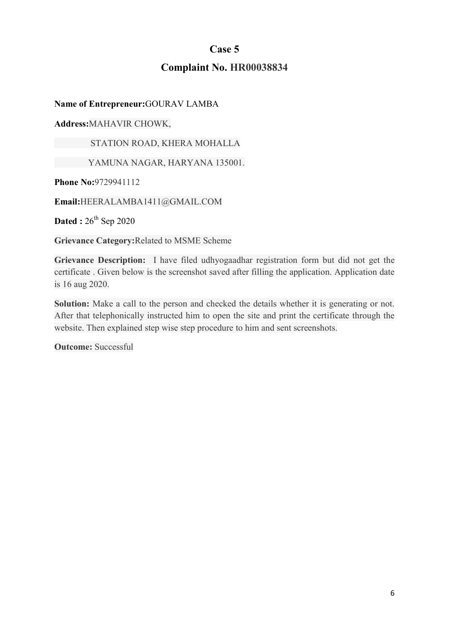## Complaint No. HR00038834

Name of Entrepreneur:GOURAV LAMBA

Address:MAHAVIR CHOWK,

STATION ROAD, KHERA MOHALLA

YAMUNA NAGAR, HARYANA 135001.

Phone No:9729941112

Email:HEERALAMBA1411@GMAIL.COM

Dated :  $26^{th}$  Sep 2020

Grievance Category:Related to MSME Scheme

Grievance Description: I have filed udhyogaadhar registration form but did not get the certificate . Given below is the screenshot saved after filling the application. Application date is 16 aug 2020.

Solution: Make a call to the person and checked the details whether it is generating or not. After that telephonically instructed him to open the site and print the certificate through the website. Then explained step wise step procedure to him and sent screenshots.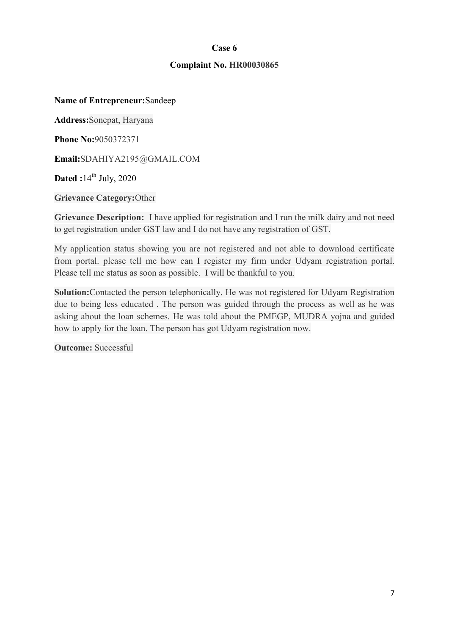### Complaint No. HR00030865

#### Name of Entrepreneur:Sandeep

Address:Sonepat, Haryana

Phone No:9050372371

Email:SDAHIYA2195@GMAIL.COM

Dated : $14<sup>th</sup>$  July, 2020

Grievance Category:Other

Grievance Description: I have applied for registration and I run the milk dairy and not need to get registration under GST law and I do not have any registration of GST.

My application status showing you are not registered and not able to download certificate from portal. please tell me how can I register my firm under Udyam registration portal. Please tell me status as soon as possible. I will be thankful to you.

Solution: Contacted the person telephonically. He was not registered for Udyam Registration due to being less educated . The person was guided through the process as well as he was asking about the loan schemes. He was told about the PMEGP, MUDRA yojna and guided how to apply for the loan. The person has got Udyam registration now.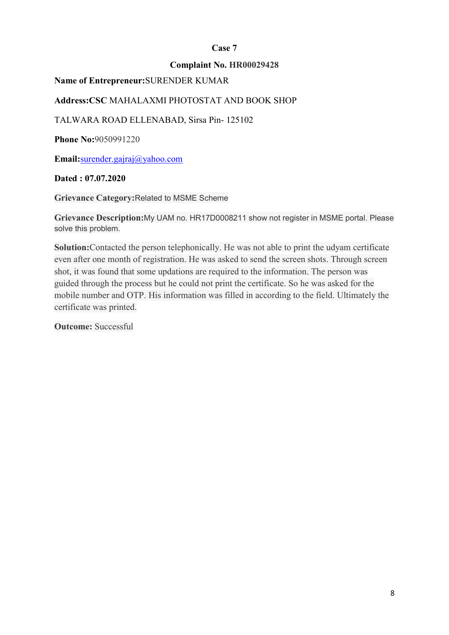### Complaint No. HR00029428

### Name of Entrepreneur:SURENDER KUMAR

## Address:CSC MAHALAXMI PHOTOSTAT AND BOOK SHOP

TALWARA ROAD ELLENABAD, Sirsa Pin- 125102

**Phone No:**9050991220

Email:surender.gajraj@yahoo.com

### Dated : 07.07.2020

Grievance Category:Related to MSME Scheme

Grievance Description:My UAM no. HR17D0008211 show not register in MSME portal. Please solve this problem.

Solution:Contacted the person telephonically. He was not able to print the udyam certificate even after one month of registration. He was asked to send the screen shots. Through screen shot, it was found that some updations are required to the information. The person was guided through the process but he could not print the certificate. So he was asked for the mobile number and OTP. His information was filled in according to the field. Ultimately the certificate was printed.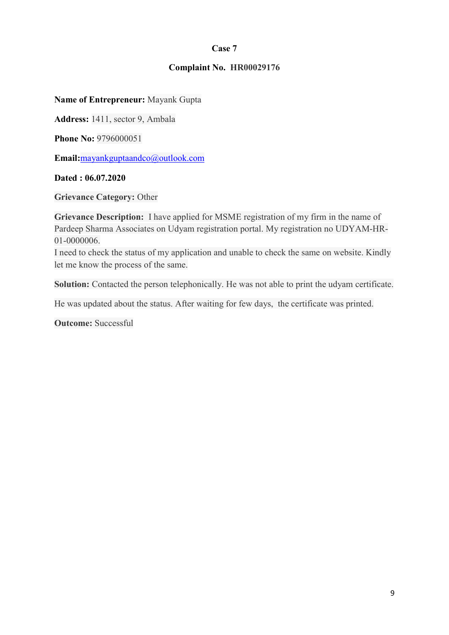### Complaint No. HR00029176

Name of Entrepreneur: Mayank Gupta

Address: 1411, sector 9, Ambala

**Phone No: 9796000051** 

Email:mayankguptaandco@outlook.com

### Dated : 06.07.2020

Grievance Category: Other

Grievance Description: I have applied for MSME registration of my firm in the name of Pardeep Sharma Associates on Udyam registration portal. My registration no UDYAM-HR-01-0000006.

I need to check the status of my application and unable to check the same on website. Kindly let me know the process of the same.

Solution: Contacted the person telephonically. He was not able to print the udyam certificate.

He was updated about the status. After waiting for few days, the certificate was printed.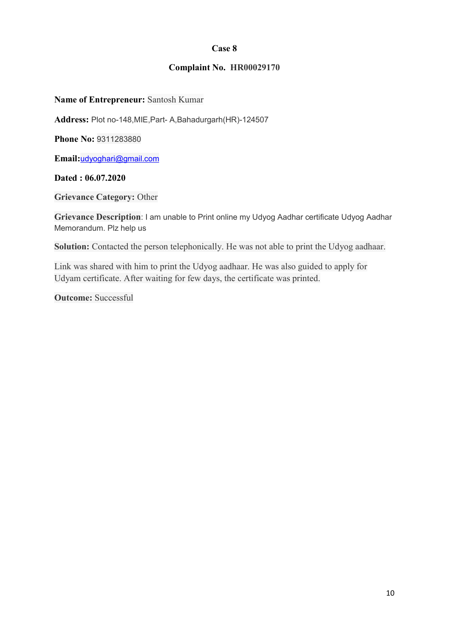### Complaint No. HR00029170

#### Name of Entrepreneur: Santosh Kumar

Address: Plot no-148,MIE,Part- A,Bahadurgarh(HR)-124507

Phone No: 9311283880

Email:udyoghari@gmail.com

### Dated : 06.07.2020

Grievance Category: Other

Grievance Description: I am unable to Print online my Udyog Aadhar certificate Udyog Aadhar Memorandum. Plz help us

Solution: Contacted the person telephonically. He was not able to print the Udyog aadhaar.

Link was shared with him to print the Udyog aadhaar. He was also guided to apply for Udyam certificate. After waiting for few days, the certificate was printed.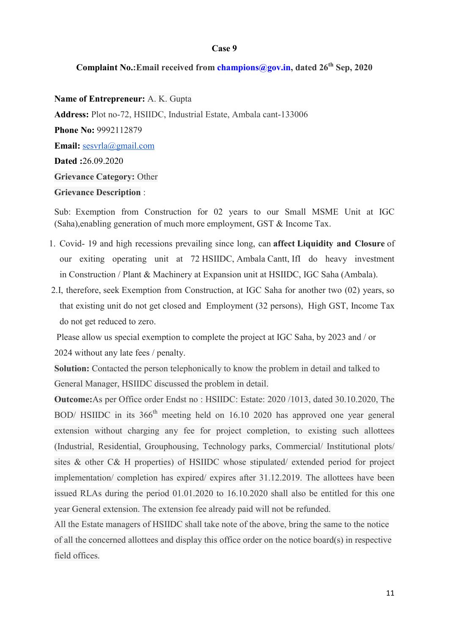## Complaint No.: Email received from champions  $@g$ ov.in, dated  $26<sup>th</sup>$  Sep, 2020

Name of Entrepreneur: A. K. Gupta Address: Plot no-72, HSIIDC, Industrial Estate, Ambala cant-133006 Phone No: 9992112879 Email: sesvrla@gmail.com Dated :26.09.2020 Grievance Category: Other Grievance Description :

Sub: Exemption from Construction for 02 years to our Small MSME Unit at IGC (Saha),enabling generation of much more employment, GST & Income Tax.

- 1. Covid- 19 and high recessions prevailing since long, can affect Liquidity and Closure of our exiting operating unit at 72 HSIIDC, Ambala Cantt, IfI do heavy investment in Construction / Plant & Machinery at Expansion unit at HSIIDC, IGC Saha (Ambala).
- 2.I, therefore, seek Exemption from Construction, at IGC Saha for another two (02) years, so that existing unit do not get closed and Employment (32 persons), High GST, Income Tax do not get reduced to zero.

 Please allow us special exemption to complete the project at IGC Saha, by 2023 and / or 2024 without any late fees / penalty.

Solution: Contacted the person telephonically to know the problem in detail and talked to General Manager, HSIIDC discussed the problem in detail.

Outcome:As per Office order Endst no : HSIIDC: Estate: 2020 /1013, dated 30.10.2020, The BOD/ HSIIDC in its 366<sup>th</sup> meeting held on 16.10 2020 has approved one year general extension without charging any fee for project completion, to existing such allottees (Industrial, Residential, Grouphousing, Technology parks, Commercial/ Institutional plots/ sites & other C& H properties) of HSIIDC whose stipulated/ extended period for project implementation/ completion has expired/ expires after 31.12.2019. The allottees have been issued RLAs during the period 01.01.2020 to 16.10.2020 shall also be entitled for this one year General extension. The extension fee already paid will not be refunded.

All the Estate managers of HSIIDC shall take note of the above, bring the same to the notice of all the concerned allottees and display this office order on the notice board(s) in respective field offices.